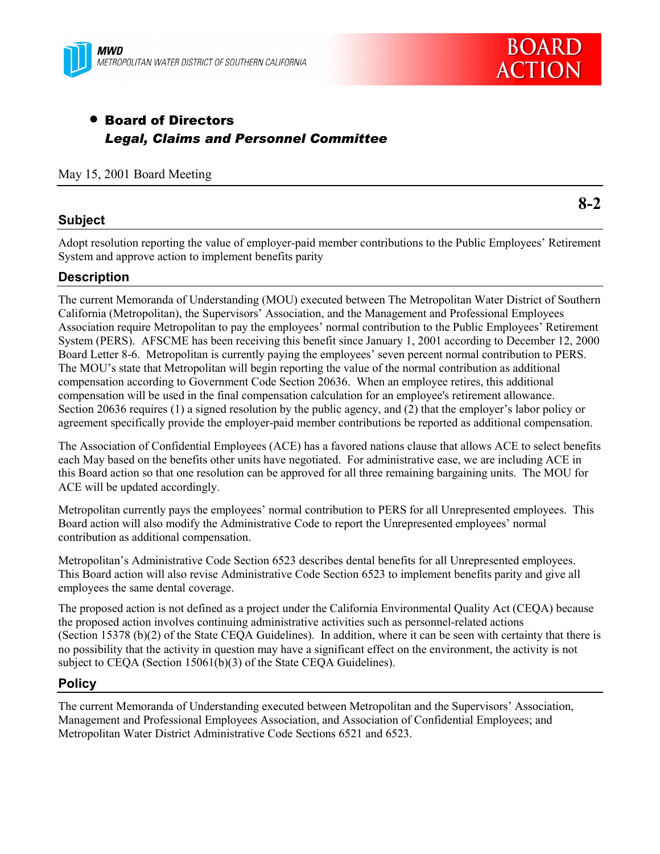



# • Board of Directors *Legal, Claims and Personnel Committee*

### May 15, 2001 Board Meeting

### **Subject**

Adopt resolution reporting the value of employer-paid member contributions to the Public Employees' Retirement System and approve action to implement benefits parity

### **Description**

The current Memoranda of Understanding (MOU) executed between The Metropolitan Water District of Southern California (Metropolitan), the Supervisorsí Association, and the Management and Professional Employees Association require Metropolitan to pay the employees' normal contribution to the Public Employees' Retirement System (PERS). AFSCME has been receiving this benefit since January 1, 2001 according to December 12, 2000 Board Letter 8-6. Metropolitan is currently paying the employees' seven percent normal contribution to PERS. The MOU's state that Metropolitan will begin reporting the value of the normal contribution as additional compensation according to Government Code Section 20636. When an employee retires, this additional compensation will be used in the final compensation calculation for an employee's retirement allowance. Section 20636 requires (1) a signed resolution by the public agency, and (2) that the employer's labor policy or agreement specifically provide the employer-paid member contributions be reported as additional compensation.

The Association of Confidential Employees (ACE) has a favored nations clause that allows ACE to select benefits each May based on the benefits other units have negotiated. For administrative ease, we are including ACE in this Board action so that one resolution can be approved for all three remaining bargaining units. The MOU for ACE will be updated accordingly.

Metropolitan currently pays the employees' normal contribution to PERS for all Unrepresented employees. This Board action will also modify the Administrative Code to report the Unrepresented employees' normal contribution as additional compensation.

Metropolitanís Administrative Code Section 6523 describes dental benefits for all Unrepresented employees. This Board action will also revise Administrative Code Section 6523 to implement benefits parity and give all employees the same dental coverage.

The proposed action is not defined as a project under the California Environmental Quality Act (CEQA) because the proposed action involves continuing administrative activities such as personnel-related actions (Section 15378 (b)(2) of the State CEQA Guidelines). In addition, where it can be seen with certainty that there is no possibility that the activity in question may have a significant effect on the environment, the activity is not subject to CEQA (Section 15061(b)(3) of the State CEQA Guidelines).

#### **Policy**

The current Memoranda of Understanding executed between Metropolitan and the Supervisors' Association, Management and Professional Employees Association, and Association of Confidential Employees; and Metropolitan Water District Administrative Code Sections 6521 and 6523.

**8-2**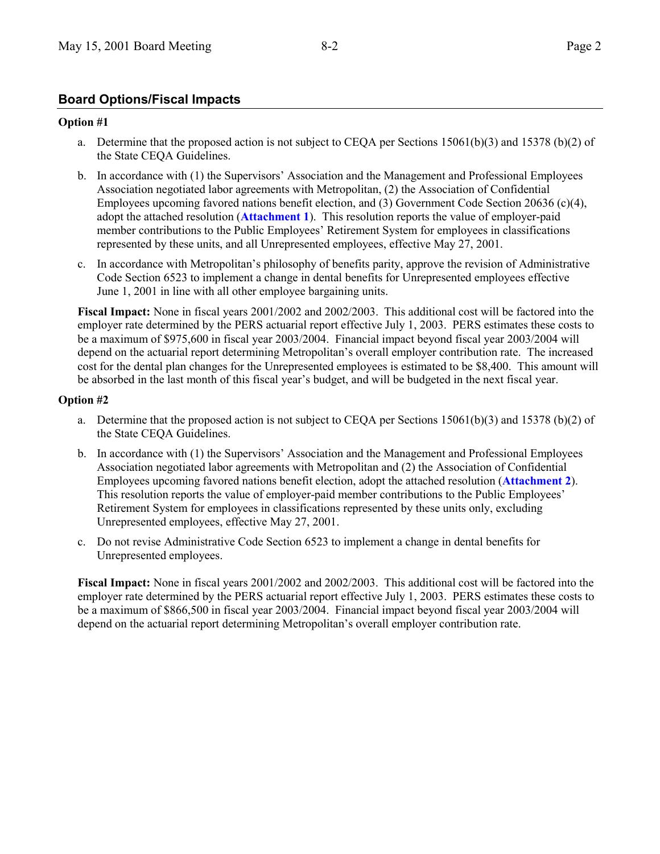## **Board Options/Fiscal Impacts**

#### **Option #1**

- a. Determine that the proposed action is not subject to CEQA per Sections 15061(b)(3) and 15378 (b)(2) of the State CEQA Guidelines.
- b. In accordance with (1) the Supervisors' Association and the Management and Professional Employees Association negotiated labor agreements with Metropolitan, (2) the Association of Confidential Employees upcoming favored nations benefit election, and (3) Government Code Section 20636 (c)(4), adopt the attached resolution (**Attachment 1**). This resolution reports the value of employer-paid member contributions to the Public Employees' Retirement System for employees in classifications represented by these units, and all Unrepresented employees, effective May 27, 2001.
- c. In accordance with Metropolitanís philosophy of benefits parity, approve the revision of Administrative Code Section 6523 to implement a change in dental benefits for Unrepresented employees effective June 1, 2001 in line with all other employee bargaining units.

**Fiscal Impact:** None in fiscal years 2001/2002 and 2002/2003. This additional cost will be factored into the employer rate determined by the PERS actuarial report effective July 1, 2003. PERS estimates these costs to be a maximum of \$975,600 in fiscal year 2003/2004. Financial impact beyond fiscal year 2003/2004 will depend on the actuarial report determining Metropolitanís overall employer contribution rate. The increased cost for the dental plan changes for the Unrepresented employees is estimated to be \$8,400. This amount will be absorbed in the last month of this fiscal year's budget, and will be budgeted in the next fiscal year.

#### **Option #2**

- a. Determine that the proposed action is not subject to CEQA per Sections 15061(b)(3) and 15378 (b)(2) of the State CEQA Guidelines.
- b. In accordance with (1) the Supervisorsí Association and the Management and Professional Employees Association negotiated labor agreements with Metropolitan and (2) the Association of Confidential Employees upcoming favored nations benefit election, adopt the attached resolution (**Attachment 2**). This resolution reports the value of employer-paid member contributions to the Public Employees' Retirement System for employees in classifications represented by these units only, excluding Unrepresented employees, effective May 27, 2001.
- c. Do not revise Administrative Code Section 6523 to implement a change in dental benefits for Unrepresented employees.

**Fiscal Impact:** None in fiscal years 2001/2002 and 2002/2003. This additional cost will be factored into the employer rate determined by the PERS actuarial report effective July 1, 2003. PERS estimates these costs to be a maximum of \$866,500 in fiscal year 2003/2004. Financial impact beyond fiscal year 2003/2004 will depend on the actuarial report determining Metropolitanís overall employer contribution rate.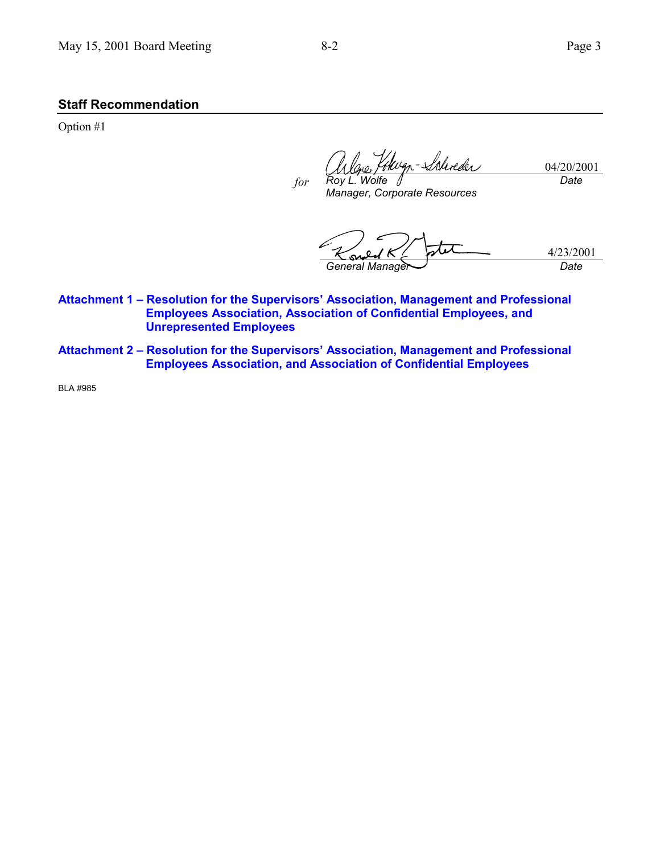### **Staff Recommendation**

Option #1

durder 04/20/2001 *Roy L. Wolfe Date for*

*Manager, Corporate Resources*

- 4/23/2001 *General Manager Date*
- Attachment 1 Resolution for the Supervisors' Association, Management and Professional **Employees Association, Association of Confidential Employees, and Unrepresented Employees**
- Attachment 2 Resolution for the Supervisors' Association, Management and Professional **Employees Association, and Association of Confidential Employees**

BLA #985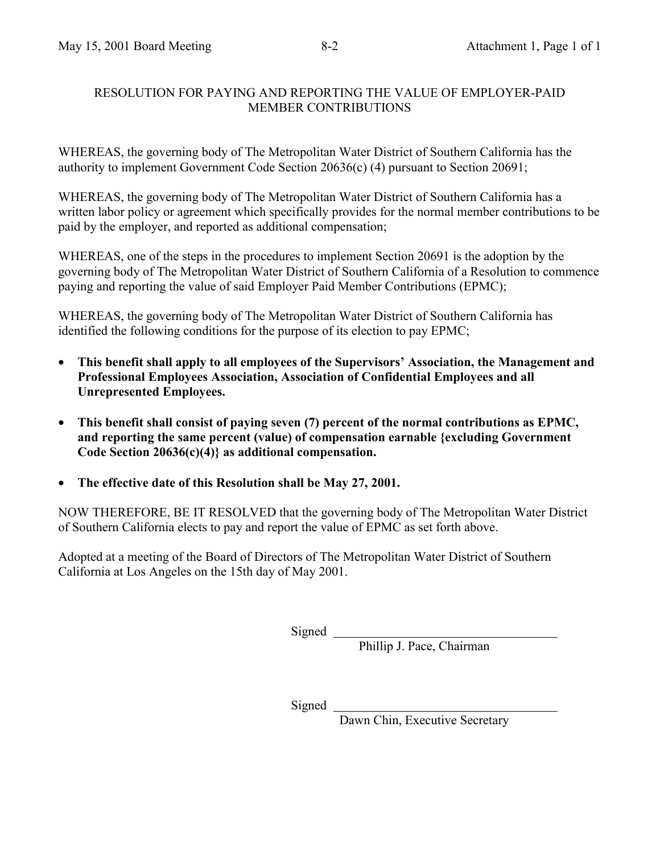## RESOLUTION FOR PAYING AND REPORTING THE VALUE OF EMPLOYER-PAID MEMBER CONTRIBUTIONS

WHEREAS, the governing body of The Metropolitan Water District of Southern California has the authority to implement Government Code Section 20636(c) (4) pursuant to Section 20691;

WHEREAS, the governing body of The Metropolitan Water District of Southern California has a written labor policy or agreement which specifically provides for the normal member contributions to be paid by the employer, and reported as additional compensation;

WHEREAS, one of the steps in the procedures to implement Section 20691 is the adoption by the governing body of The Metropolitan Water District of Southern California of a Resolution to commence paying and reporting the value of said Employer Paid Member Contributions (EPMC);

WHEREAS, the governing body of The Metropolitan Water District of Southern California has identified the following conditions for the purpose of its election to pay EPMC;

- This benefit shall apply to all employees of the Supervisors' Association, the Management and **Professional Employees Association, Association of Confidential Employees and all Unrepresented Employees.**
- **This benefit shall consist of paying seven (7) percent of the normal contributions as EPMC, and reporting the same percent (value) of compensation earnable {excluding Government Code Section 20636(c)(4)} as additional compensation.**
- **The effective date of this Resolution shall be May 27, 2001.**

NOW THEREFORE, BE IT RESOLVED that the governing body of The Metropolitan Water District of Southern California elects to pay and report the value of EPMC as set forth above.

Adopted at a meeting of the Board of Directors of The Metropolitan Water District of Southern California at Los Angeles on the 15th day of May 2001.

Signed \_\_

Phillip J. Pace, Chairman

Signed

Dawn Chin, Executive Secretary